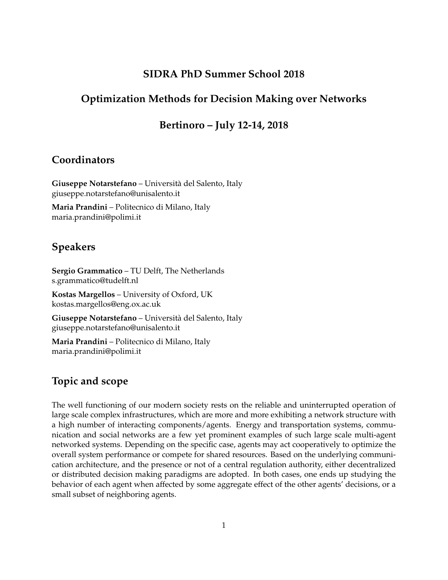## **SIDRA PhD Summer School 2018**

## **Optimization Methods for Decision Making over Networks**

## **Bertinoro – July 12-14, 2018**

## **Coordinators**

**Giuseppe Notarstefano** – Universita del Salento, Italy ` giuseppe.notarstefano@unisalento.it

**Maria Prandini** – Politecnico di Milano, Italy maria.prandini@polimi.it

# **Speakers**

**Sergio Grammatico** – TU Delft, The Netherlands s.grammatico@tudelft.nl

**Kostas Margellos** – University of Oxford, UK kostas.margellos@eng.ox.ac.uk

**Giuseppe Notarstefano** – Universita del Salento, Italy ` giuseppe.notarstefano@unisalento.it

**Maria Prandini** – Politecnico di Milano, Italy maria.prandini@polimi.it

## **Topic and scope**

The well functioning of our modern society rests on the reliable and uninterrupted operation of large scale complex infrastructures, which are more and more exhibiting a network structure with a high number of interacting components/agents. Energy and transportation systems, communication and social networks are a few yet prominent examples of such large scale multi-agent networked systems. Depending on the specific case, agents may act cooperatively to optimize the overall system performance or compete for shared resources. Based on the underlying communication architecture, and the presence or not of a central regulation authority, either decentralized or distributed decision making paradigms are adopted. In both cases, one ends up studying the behavior of each agent when affected by some aggregate effect of the other agents' decisions, or a small subset of neighboring agents.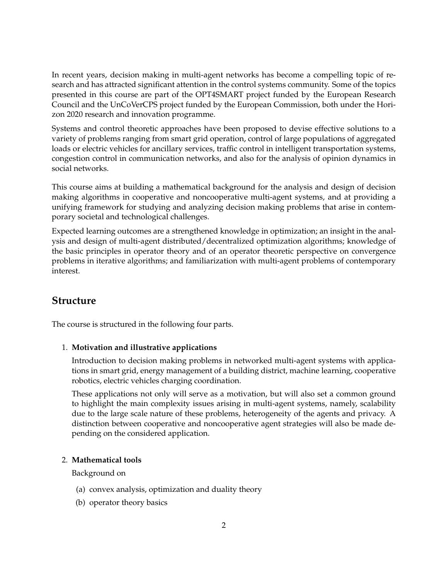In recent years, decision making in multi-agent networks has become a compelling topic of research and has attracted significant attention in the control systems community. Some of the topics presented in this course are part of the OPT4SMART project funded by the European Research Council and the UnCoVerCPS project funded by the European Commission, both under the Horizon 2020 research and innovation programme.

Systems and control theoretic approaches have been proposed to devise effective solutions to a variety of problems ranging from smart grid operation, control of large populations of aggregated loads or electric vehicles for ancillary services, traffic control in intelligent transportation systems, congestion control in communication networks, and also for the analysis of opinion dynamics in social networks.

This course aims at building a mathematical background for the analysis and design of decision making algorithms in cooperative and noncooperative multi-agent systems, and at providing a unifying framework for studying and analyzing decision making problems that arise in contemporary societal and technological challenges.

Expected learning outcomes are a strengthened knowledge in optimization; an insight in the analysis and design of multi-agent distributed/decentralized optimization algorithms; knowledge of the basic principles in operator theory and of an operator theoretic perspective on convergence problems in iterative algorithms; and familiarization with multi-agent problems of contemporary interest.

## **Structure**

The course is structured in the following four parts.

#### 1. **Motivation and illustrative applications**

Introduction to decision making problems in networked multi-agent systems with applications in smart grid, energy management of a building district, machine learning, cooperative robotics, electric vehicles charging coordination.

These applications not only will serve as a motivation, but will also set a common ground to highlight the main complexity issues arising in multi-agent systems, namely, scalability due to the large scale nature of these problems, heterogeneity of the agents and privacy. A distinction between cooperative and noncooperative agent strategies will also be made depending on the considered application.

#### 2. **Mathematical tools**

Background on

- (a) convex analysis, optimization and duality theory
- (b) operator theory basics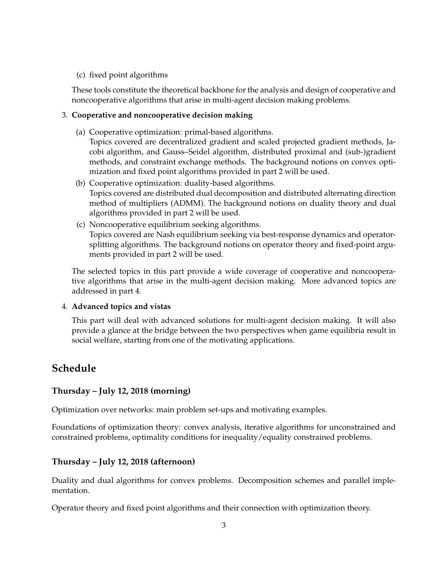#### (c) fixed point algorithms

These tools constitute the theoretical backbone for the analysis and design of cooperative and noncooperative algorithms that arise in multi-agent decision making problems.

#### 3. **Cooperative and noncooperative decision making**

- (a) Cooperative optimization: primal-based algorithms. Topics covered are decentralized gradient and scaled projected gradient methods, Jacobi algorithm, and Gauss–Seidel algorithm, distributed proximal and (sub-)gradient methods, and constraint exchange methods. The background notions on convex optimization and fixed point algorithms provided in part 2 will be used.
- (b) Cooperative optimization: duality-based algorithms. Topics covered are distributed dual decomposition and distributed alternating direction method of multipliers (ADMM). The background notions on duality theory and dual algorithms provided in part 2 will be used.
- (c) Noncooperative equilibrium seeking algorithms. Topics covered are Nash equilibrium seeking via best-response dynamics and operatorsplitting algorithms. The background notions on operator theory and fixed-point arguments provided in part 2 will be used.

The selected topics in this part provide a wide coverage of cooperative and noncooperative algorithms that arise in the multi-agent decision making. More advanced topics are addressed in part 4.

#### 4. **Advanced topics and vistas**

This part will deal with advanced solutions for multi-agent decision making. It will also provide a glance at the bridge between the two perspectives when game equilibria result in social welfare, starting from one of the motivating applications.

# **Schedule**

### **Thursday – July 12, 2018 (morning)**

Optimization over networks: main problem set-ups and motivating examples.

Foundations of optimization theory: convex analysis, iterative algorithms for unconstrained and constrained problems, optimality conditions for inequality/equality constrained problems.

### **Thursday – July 12, 2018 (afternoon)**

Duality and dual algorithms for convex problems. Decomposition schemes and parallel implementation.

Operator theory and fixed point algorithms and their connection with optimization theory.